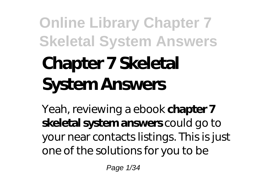# **Chapter 7 Skeletal System Answers**

Yeah, reviewing a ebook **chapter 7 skeletal system answers** could go to your near contacts listings. This is just one of the solutions for you to be

Page 1/34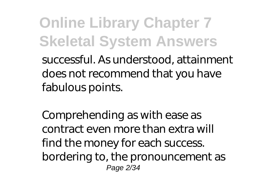successful. As understood, attainment does not recommend that you have fabulous points.

Comprehending as with ease as contract even more than extra will find the money for each success. bordering to, the pronouncement as Page 2/34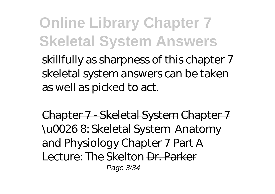skillfully as sharpness of this chapter 7 skeletal system answers can be taken as well as picked to act.

Chapter 7 - Skeletal System Chapter 7 \u0026 8: Skeletal System *Anatomy and Physiology Chapter 7 Part A Lecture: The Skelton* Dr. Parker Page 3/34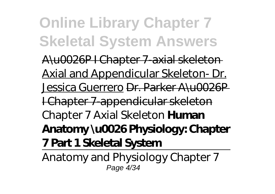A\u0026P I Chapter 7-axial skeleton Axial and Appendicular Skeleton- Dr. Jessica Guerrero Dr. Parker A\u0026P I Chapter 7-appendicular skeleton *Chapter 7 Axial Skeleton* **Human Anatomy \u0026 Physiology: Chapter 7 Part 1 Skeletal System**

Anatomy and Physiology Chapter 7 Page 4/34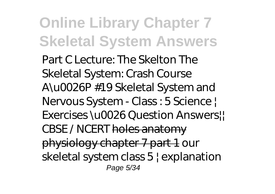Part C Lecture: The Skelton The Skeletal System: Crash Course A\u0026P #19 Skeletal System and Nervous System - Class : 5 Science | Exercises \u0026 Question Answers! CBSE / NCERT holes anatomy physiology chapter 7 part 1 *our skeletal system class 5 | explanation* Page 5/34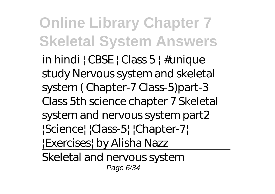*in hindi | CBSE | Class 5 | #unique study Nervous system and skeletal system ( Chapter-7 Class-5)part-3 Class 5th science chapter 7 Skeletal system and nervous system part2 |Science| |Class-5| |Chapter-7| |Exercises| by Alisha Nazz*

Skeletal and nervous system Page 6/34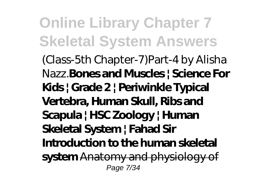(Class-5th Chapter-7)Part-4 by Alisha Nazz.**Bones and Muscles | Science For Kids | Grade 2 | Periwinkle Typical Vertebra, Human Skull, Ribs and Scapula | HSC Zoology | Human Skeletal System | Fahad Sir Introduction to the human skeletal system** Anatomy and physiology of Page 7/34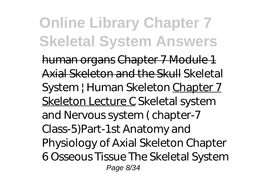human organs Chapter 7 Module 1 Axial Skeleton and the Skull *Skeletal System | Human Skeleton* Chapter 7 Skeleton Lecture C *Skeletal system and Nervous system ( chapter-7 Class-5)Part-1st Anatomy and Physiology of Axial Skeleton Chapter 6 Osseous Tissue The Skeletal System* Page 8/34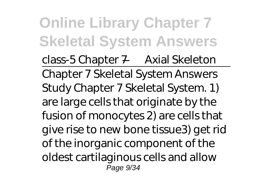*class-5 Chapter 7 — Axial Skeleton* Chapter 7 Skeletal System Answers Study Chapter 7 Skeletal System. 1) are large cells that originate by the fusion of monocytes 2) are cells that give rise to new bone tissue3) get rid of the inorganic component of the oldest cartilaginous cells and allow Page 9/34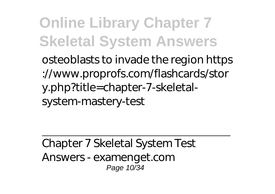osteoblasts to invade the region https ://www.proprofs.com/flashcards/stor y.php?title=chapter-7-skeletalsystem-mastery-test

Chapter 7 Skeletal System Test Answers - examenget.com Page 10/34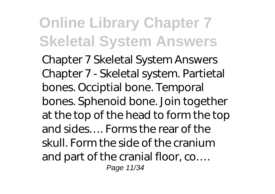Chapter 7 Skeletal System Answers Chapter 7 - Skeletal system. Partietal bones. Occiptial bone. Temporal bones. Sphenoid bone. Join together at the top of the head to form the top and sides…. Forms the rear of the skull. Form the side of the cranium and part of the cranial floor, co…. Page 11/34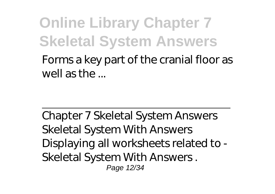Forms a key part of the cranial floor as well as the ...

Chapter 7 Skeletal System Answers Skeletal System With Answers Displaying all worksheets related to - Skeletal System With Answers . Page 12/34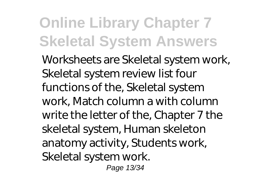Worksheets are Skeletal system work, Skeletal system review list four functions of the, Skeletal system work, Match column a with column write the letter of the, Chapter 7 the skeletal system, Human skeleton anatomy activity, Students work, Skeletal system work. Page 13/34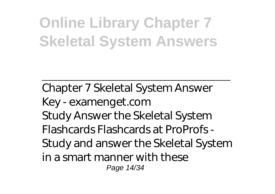Chapter 7 Skeletal System Answer Key - examenget.com Study Answer the Skeletal System Flashcards Flashcards at ProProfs - Study and answer the Skeletal System in a smart manner with these Page 14/34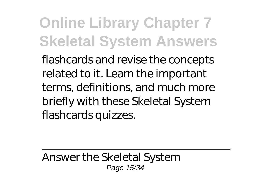flashcards and revise the concepts related to it. Learn the important terms, definitions, and much more briefly with these Skeletal System flashcards quizzes.

Answer the Skeletal System Page 15/34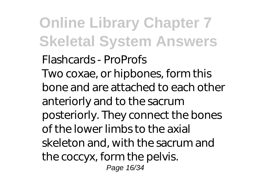Flashcards - ProProfs Two coxae, or hipbones, form this bone and are attached to each other anteriorly and to the sacrum posteriorly. They connect the bones of the lower limbs to the axial skeleton and, with the sacrum and the coccyx, form the pelvis. Page 16/34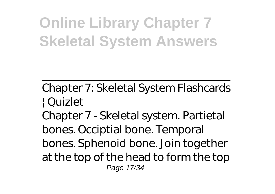Chapter 7: Skeletal System Flashcards | Quizlet Chapter 7 - Skeletal system. Partietal

bones. Occiptial bone. Temporal bones. Sphenoid bone. Join together at the top of the head to form the top Page 17/34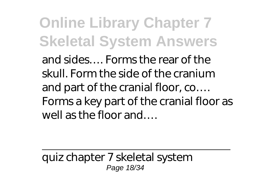and sides…. Forms the rear of the skull. Form the side of the cranium and part of the cranial floor, co…. Forms a key part of the cranial floor as well as the floor and….

quiz chapter 7 skeletal system Page 18/34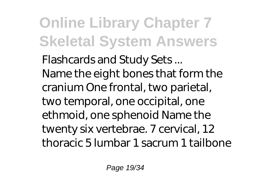Flashcards and Study Sets ... Name the eight bones that form the cranium One frontal, two parietal, two temporal, one occipital, one ethmoid, one sphenoid Name the twenty six vertebrae. 7 cervical, 12 thoracic 5 lumbar 1 sacrum 1 tailbone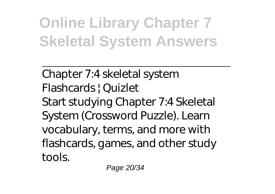Chapter 7:4 skeletal system Flashcards | Quizlet Start studying Chapter 7:4 Skeletal System (Crossword Puzzle). Learn vocabulary, terms, and more with flashcards, games, and other study tools.

Page 20/34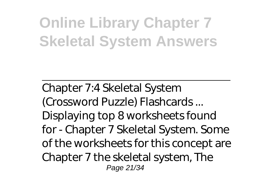Chapter 7:4 Skeletal System (Crossword Puzzle) Flashcards ... Displaying top 8 worksheets found for - Chapter 7 Skeletal System. Some of the worksheets for this concept are Chapter 7 the skeletal system, The Page 21/34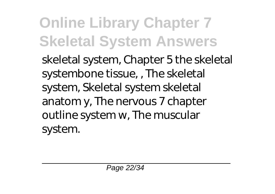skeletal system, Chapter 5 the skeletal systembone tissue, , The skeletal system, Skeletal system skeletal anatom y, The nervous 7 chapter outline system w, The muscular system.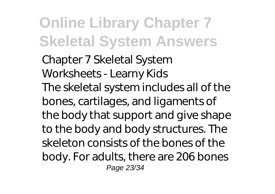Chapter 7 Skeletal System Worksheets - Learny Kids The skeletal system includes all of the bones, cartilages, and ligaments of the body that support and give shape to the body and body structures. The skeleton consists of the bones of the body. For adults, there are 206 bones Page 23/34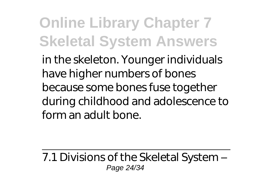in the skeleton. Younger individuals have higher numbers of bones because some bones fuse together during childhood and adolescence to form an adult bone.

7.1 Divisions of the Skeletal System – Page 24/34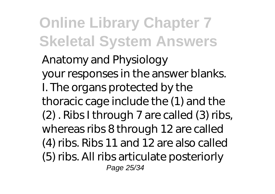Anatomy and Physiology your responses in the answer blanks. I. The organs protected by the thoracic cage include the (1) and the (2) . Ribs I through 7 are called (3) ribs, whereas ribs 8 through 12 are called (4) ribs. Ribs 11 and 12 are also called (5) ribs. All ribs articulate posteriorly Page 25/34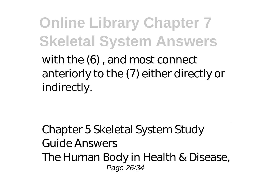with the (6) , and most connect anteriorly to the (7) either directly or indirectly.

Chapter 5 Skeletal System Study Guide Answers The Human Body in Health & Disease, Page 26/34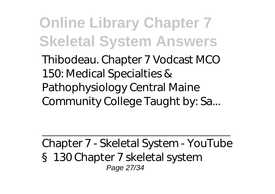Thibodeau. Chapter 7 Vodcast MCO 150: Medical Specialties & Pathophysiology Central Maine Community College Taught by: Sa...

Chapter 7 - Skeletal System - YouTube §130 Chapter 7 skeletal system Page 27/34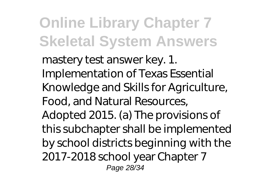mastery test answer key. 1. Implementation of Texas Essential Knowledge and Skills for Agriculture, Food, and Natural Resources, Adopted 2015. (a) The provisions of this subchapter shall be implemented by school districts beginning with the 2017-2018 school year Chapter 7 Page 28/34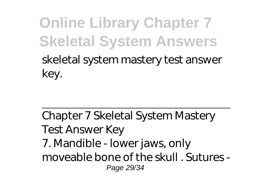#### **Online Library Chapter 7 Skeletal System Answers** skeletal system mastery test answer key.

Chapter 7 Skeletal System Mastery Test Answer Key 7. Mandible - lower jaws, only moveable bone of the skull . Sutures - Page 29/34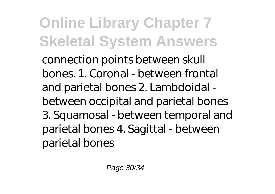connection points between skull bones. 1. Coronal - between frontal and parietal bones 2. Lambdoidal between occipital and parietal bones 3. Squamosal - between temporal and parietal bones 4. Sagittal - between parietal bones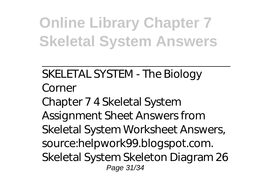SKELETAL SYSTEM - The Biology Corner Chapter 7 4 Skeletal System Assignment Sheet Answers from Skeletal System Worksheet Answers, source:helpwork99.blogspot.com. Skeletal System Skeleton Diagram 26 Page 31/34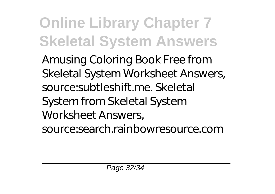Amusing Coloring Book Free from Skeletal System Worksheet Answers, source:subtleshift.me. Skeletal System from Skeletal System Worksheet Answers, source:search.rainbowresource.com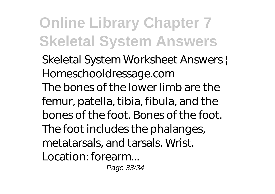Skeletal System Worksheet Answers | Homeschooldressage.com The bones of the lower limb are the femur, patella, tibia, fibula, and the bones of the foot. Bones of the foot. The foot includes the phalanges, metatarsals, and tarsals. Wrist. Location: forearm...

Page 33/34